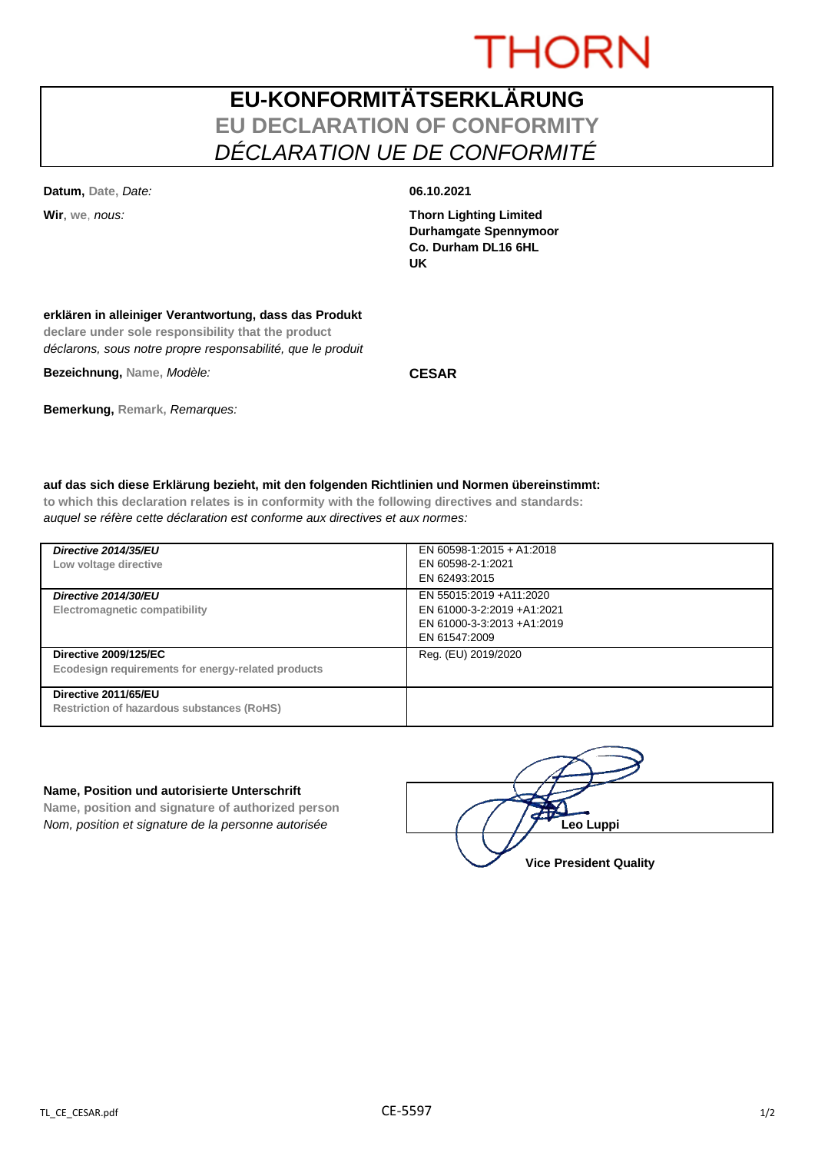# **THORN**

## **EU-KONFORMITÄTSERKLÄRUNG EU DECLARATION OF CONFORMITY** *DÉCLARATION UE DE CONFORMITÉ*

**Datum, Date,** *Date:* **06.10.2021**

**Wir**, **we**, *nous:* **Thorn Lighting Limited Durhamgate Spennymoor Co. Durham DL16 6HL UK**

### **erklären in alleiniger Verantwortung, dass das Produkt**

**declare under sole responsibility that the product** *déclarons, sous notre propre responsabilité, que le produit*

**Bezeichnung, Name,** *Modèle:* **CESAR**

### **Bemerkung, Remark,** *Remarques:*

### **auf das sich diese Erklärung bezieht, mit den folgenden Richtlinien und Normen übereinstimmt:**

**to which this declaration relates is in conformity with the following directives and standards:** *auquel se réfère cette déclaration est conforme aux directives et aux normes:*

| Directive 2014/35/EU<br>Low voltage directive                                      | EN 60598-1:2015 + A1:2018<br>EN 60598-2-1:2021<br>EN 62493:2015                                      |
|------------------------------------------------------------------------------------|------------------------------------------------------------------------------------------------------|
| Directive 2014/30/EU<br>Electromagnetic compatibility                              | EN 55015:2019 +A11:2020<br>EN 61000-3-2:2019 +A1:2021<br>EN 61000-3-3:2013 +A1:2019<br>EN 61547:2009 |
| <b>Directive 2009/125/EC</b><br>Ecodesign requirements for energy-related products | Reg. (EU) 2019/2020                                                                                  |
| Directive 2011/65/EU<br>Restriction of hazardous substances (RoHS)                 |                                                                                                      |

#### **Name, Position und autorisierte Unterschrift**

**Name, position and signature of authorized person** *Nom, position et signature de la personne autorisée*  $\left| \begin{array}{cc} | & | & | \end{array} \right|$  / / / **/ Leo Luppi** 

**Vice President Quality**